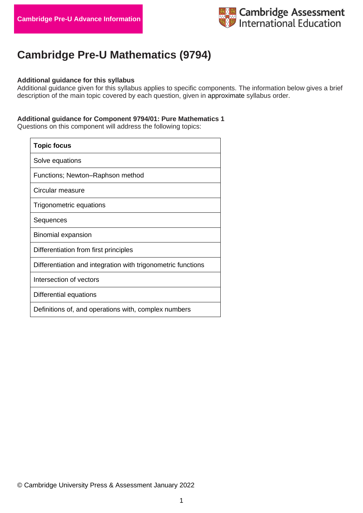

# **Cambridge Pre-U Mathematics (9794)**

### **Additional guidance for this syllabus**

Additional guidance given for this syllabus applies to specific components. The information below gives a brief description of the main topic covered by each question, given in approximate syllabus order.

### **Additional guidance for Component 9794/01: Pure Mathematics 1**

Questions on this component will address the following topics:

| <b>Topic focus</b>                                           |
|--------------------------------------------------------------|
| Solve equations                                              |
| Functions; Newton-Raphson method                             |
| Circular measure                                             |
| Trigonometric equations                                      |
| Sequences                                                    |
| <b>Binomial expansion</b>                                    |
| Differentiation from first principles                        |
| Differentiation and integration with trigonometric functions |
| Intersection of vectors                                      |
| Differential equations                                       |
| Definitions of, and operations with, complex numbers         |